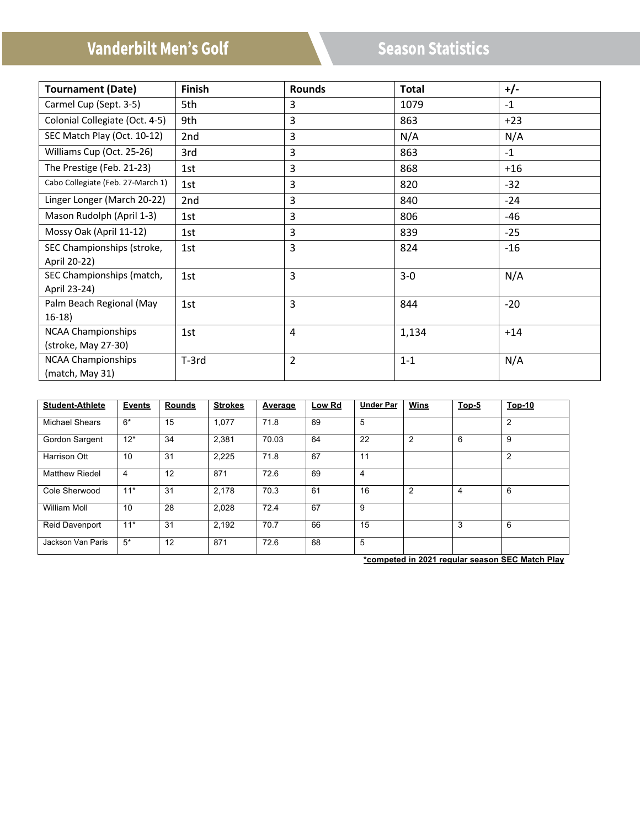# **Vanderbilt Men's Golf**

# **Season Statistics**

| <b>Tournament (Date)</b>          | <b>Finish</b> | <b>Rounds</b>  | <b>Total</b> | $+/-$ |
|-----------------------------------|---------------|----------------|--------------|-------|
| Carmel Cup (Sept. 3-5)            | 5th           | 3              | 1079         | $-1$  |
| Colonial Collegiate (Oct. 4-5)    | 9th           | 3              | 863          | $+23$ |
| SEC Match Play (Oct. 10-12)       | 2nd           | 3              | N/A          | N/A   |
| Williams Cup (Oct. 25-26)         | 3rd           | 3              | 863          | $-1$  |
| The Prestige (Feb. 21-23)         | 1st           | 3              | 868          | $+16$ |
| Cabo Collegiate (Feb. 27-March 1) | 1st           | 3              | 820          | $-32$ |
| Linger Longer (March 20-22)       | 2nd           | 3              | 840          | -24   |
| Mason Rudolph (April 1-3)         | 1st           | 3              | 806          | -46   |
| Mossy Oak (April 11-12)           | 1st           | 3              | 839          | $-25$ |
| SEC Championships (stroke,        | 1st           | 3              | 824          | $-16$ |
| April 20-22)                      |               |                |              |       |
| SEC Championships (match,         | 1st           | 3              | $3-0$        | N/A   |
| April 23-24)                      |               |                |              |       |
| Palm Beach Regional (May          | 1st           | $\overline{3}$ | 844          | $-20$ |
| $16-18$                           |               |                |              |       |
| <b>NCAA Championships</b>         | 1st           | 4              | 1,134        | $+14$ |
| (stroke, May 27-30)               |               |                |              |       |
| <b>NCAA Championships</b>         | T-3rd         | $\overline{2}$ | $1 - 1$      | N/A   |
| (match, May 31)                   |               |                |              |       |

| <b>Student-Athlete</b> | <b>Events</b> | <b>Rounds</b> | <b>Strokes</b> | Average | Low Rd | <b>Under Par</b> | Wins           | $Top-5$ | <b>Top-10</b> |
|------------------------|---------------|---------------|----------------|---------|--------|------------------|----------------|---------|---------------|
| <b>Michael Shears</b>  | $6*$          | 15            | 1.077          | 71.8    | 69     | 5                |                |         | 2             |
| Gordon Sargent         | $12*$         | 34            | 2.381          | 70.03   | 64     | 22               | $\overline{2}$ | 6       | 9             |
| <b>Harrison Ott</b>    | 10            | 31            | 2,225          | 71.8    | 67     | 11               |                |         | 2             |
| <b>Matthew Riedel</b>  | 4             | 12            | 871            | 72.6    | 69     | 4                |                |         |               |
| Cole Sherwood          | $11*$         | 31            | 2,178          | 70.3    | 61     | 16               | $\overline{2}$ | 4       | 6             |
| <b>William Moll</b>    | 10            | 28            | 2,028          | 72.4    | 67     | 9                |                |         |               |
| <b>Reid Davenport</b>  | $11*$         | 31            | 2,192          | 70.7    | 66     | 15               |                | 3       | 6             |
| Jackson Van Paris      | $5*$          | 12            | 871            | 72.6    | 68     | 5                |                |         |               |

**\*competed in 2021 regular season SEC Match Play**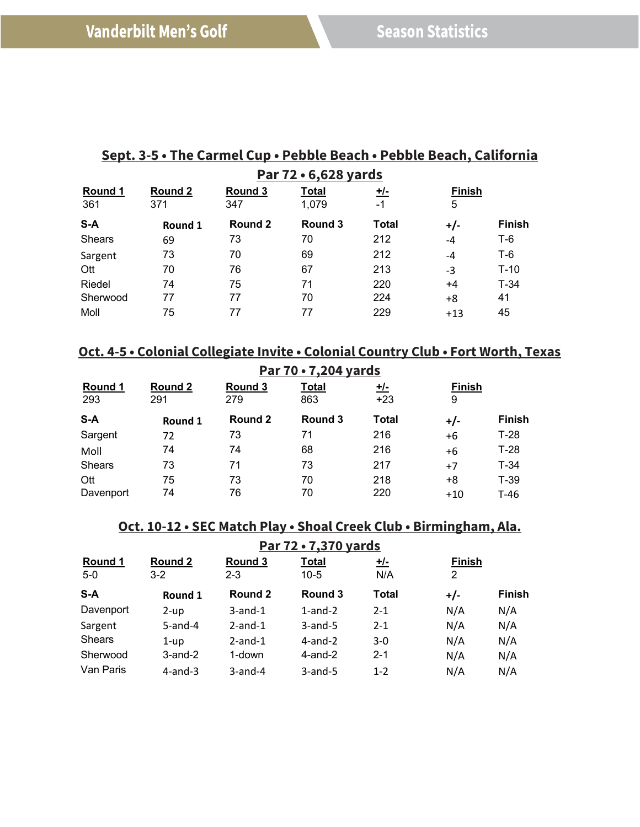# **Sept. 3-5 • The Carmel Cup • Pebble Beach • Pebble Beach, California Par 72 • 6,628 yards**

| Round 1<br>361 | Round 2<br>371 | Round 3<br>347 | <b>Total</b><br>1,079 | <u>+/-</u><br>$-1$ | <b>Finish</b><br>5 |               |
|----------------|----------------|----------------|-----------------------|--------------------|--------------------|---------------|
| $S-A$          | Round 1        | Round 2        | Round 3               | Total              | $+/-$              | <b>Finish</b> |
| <b>Shears</b>  | 69             | 73             | 70                    | 212                | $-4$               | $T-6$         |
| Sargent        | 73             | 70             | 69                    | 212                | $-4$               | T-6           |
| Ott            | 70             | 76             | 67                    | 213                | $-3$               | $T-10$        |
| Riedel         | 74             | 75             | 71                    | 220                | $+4$               | $T-34$        |
| Sherwood       | 77             | 77             | 70                    | 224                | +8                 | 41            |
| Moll           | 75             | 77             | 77                    | 229                | $+13$              | 45            |

# **Oct. 4-5 • Colonial Collegiate Invite • Colonial Country Club • Fort Worth, Texas**

| Par 70 . 7,204 yards  |                |                |                     |                     |                    |               |  |  |
|-----------------------|----------------|----------------|---------------------|---------------------|--------------------|---------------|--|--|
| <b>Round 1</b><br>293 | Round 2<br>291 | Round 3<br>279 | <b>Total</b><br>863 | <u>+/-</u><br>$+23$ | <b>Finish</b><br>9 |               |  |  |
| $S-A$                 | Round 1        | Round 2        | Round 3             | <b>Total</b>        | $+/-$              | <b>Finish</b> |  |  |
| Sargent               | 72             | 73             | 71                  | 216                 | $+6$               | $T-28$        |  |  |
| Moll                  | 74             | 74             | 68                  | 216                 | $+6$               | $T-28$        |  |  |
| <b>Shears</b>         | 73             | 71             | 73                  | 217                 | $+7$               | $T-34$        |  |  |
| Ott                   | 75             | 73             | 70                  | 218                 | $+8$               | $T-39$        |  |  |
| Davenport             | 74             | 76             | 70                  | 220                 | $+10$              | $T-46$        |  |  |

# **Oct. 10-12 • SEC Match Play • Shoal Creek Club • Birmingham, Ala.**

| Par 72 . 7,370 yards |                    |                    |                 |                  |                    |               |  |  |
|----------------------|--------------------|--------------------|-----------------|------------------|--------------------|---------------|--|--|
| Round 1<br>$5-0$     | Round 2<br>$3 - 2$ | Round 3<br>$2 - 3$ | Total<br>$10-5$ | <u>,七</u><br>N/A | <b>Finish</b><br>2 |               |  |  |
| $S-A$                | Round 1            | Round 2            | Round 3         | <b>Total</b>     | $+/-$              | <b>Finish</b> |  |  |
| Davenport            | $2$ -up            | $3$ -and- $1$      | $1$ -and- $2$   | $2 - 1$          | N/A                | N/A           |  |  |
| Sargent              | $5$ -and-4         | $2$ -and-1         | $3$ -and-5      | $2 - 1$          | N/A                | N/A           |  |  |
| <b>Shears</b>        | $1 - up$           | $2$ -and-1         | $4$ -and- $2$   | $3-0$            | N/A                | N/A           |  |  |
| Sherwood             | $3$ -and- $2$      | 1-down             | $4$ -and- $2$   | $2 - 1$          | N/A                | N/A           |  |  |
| Van Paris            | $4$ -and-3         | $3$ -and-4         | $3$ -and-5      | $1 - 2$          | N/A                | N/A           |  |  |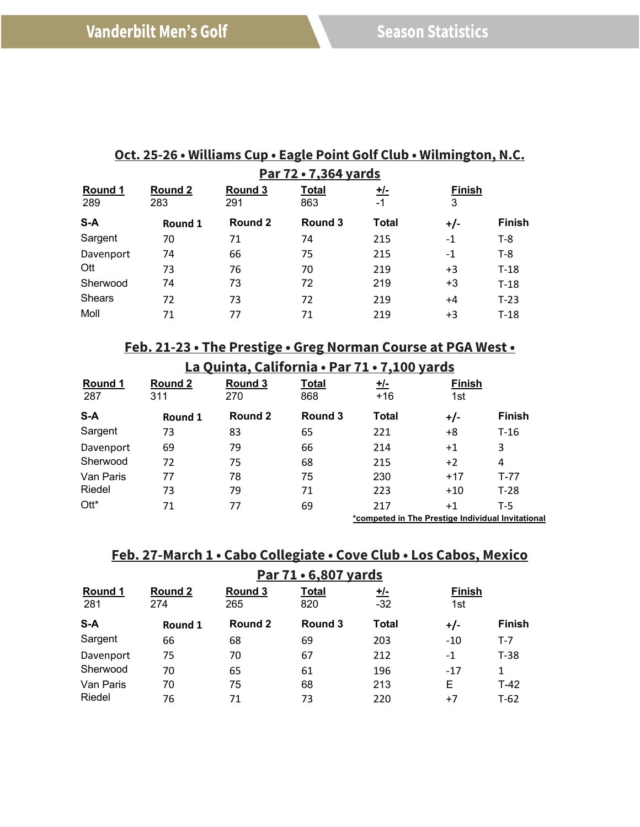|                      | UCG 25-20 • WIRRALIS CUP • LAGGE FUILL QUIL CRUP • WIRRING CUII, N.C. |                |                     |           |               |               |  |  |  |
|----------------------|-----------------------------------------------------------------------|----------------|---------------------|-----------|---------------|---------------|--|--|--|
| Par 72 . 7,364 yards |                                                                       |                |                     |           |               |               |  |  |  |
| Round 1<br>289       | Round 2<br>283                                                        | Round 3<br>291 | <b>Total</b><br>863 | +/-<br>-1 | <b>Finish</b> |               |  |  |  |
| $S-A$                | Round 1                                                               | Round 2        | Round 3             | Total     | $+/-$         | <b>Finish</b> |  |  |  |
| Sargent              | 70                                                                    | 71             | 74                  | 215       | -1            | T-8           |  |  |  |
| Davenport            | 74                                                                    | 66             | 75                  | 215       | -1            | T-8           |  |  |  |

Ott 73 76 70 219 +3 T-18 Sherwood 74 73 72 219 +3 T-18 Shears 72 73 72 219 +4 T-23 Moll 71 77 71 219 +3 T-18

# **Oct. 25-26 • Williams Cup • Eagle Point Golf Club • Wilmington, N.C.**

|  | Feb. 21-23 • The Prestige • Greg Norman Course at PGA West • |
|--|--------------------------------------------------------------|
|  |                                                              |

| La Quinta, California • Par 71 • 7,100 yards |                                                   |                |                     |                     |                      |               |  |
|----------------------------------------------|---------------------------------------------------|----------------|---------------------|---------------------|----------------------|---------------|--|
| Round 1<br>287                               | Round 2<br>311                                    | Round 3<br>270 | <u>Total</u><br>868 | <u>+/-</u><br>$+16$ | <b>Finish</b><br>1st |               |  |
| S-A                                          | Round 1                                           | Round 2        | Round 3             | <b>Total</b>        | $+/-$                | <b>Finish</b> |  |
| Sargent                                      | 73                                                | 83             | 65                  | 221                 | $+8$                 | $T-16$        |  |
| Davenport                                    | 69                                                | 79             | 66                  | 214                 | $+1$                 | 3             |  |
| Sherwood                                     | 72                                                | 75             | 68                  | 215                 | $+2$                 | 4             |  |
| Van Paris                                    | 77                                                | 78             | 75                  | 230                 | $+17$                | $T-77$        |  |
| Riedel                                       | 73                                                | 79             | 71                  | 223                 | $+10$                | $T-28$        |  |
| $Ott^*$                                      | 71                                                | 77             | 69                  | 217                 | $+1$                 | $T-5$         |  |
|                                              | *competed in The Prestige Individual Invitational |                |                     |                     |                      |               |  |

#### **Feb. 27-March 1 • Cabo Collegiate • Cove Club • Los Cabos, Mexico**

| Par 71 • 6,807 yards |                |                |                     |                     |                      |               |  |
|----------------------|----------------|----------------|---------------------|---------------------|----------------------|---------------|--|
| Round 1<br>281       | Round 2<br>274 | Round 3<br>265 | <b>Total</b><br>820 | <u>+/-</u><br>$-32$ | <b>Finish</b><br>1st |               |  |
| S-A                  | Round 1        | Round 2        | Round 3             | <b>Total</b>        | $+/-$                | <b>Finish</b> |  |
| Sargent              | 66             | 68             | 69                  | 203                 | $-10$                | $T-7$         |  |
| Davenport            | 75             | 70             | 67                  | 212                 | $-1$                 | $T-38$        |  |
| Sherwood             | 70             | 65             | 61                  | 196                 | $-17$                | $\mathbf{1}$  |  |
| Van Paris            | 70             | 75             | 68                  | 213                 | Е                    | $T-42$        |  |
| Riedel               | 76             | 71             | 73                  | 220                 | $+7$                 | $T-62$        |  |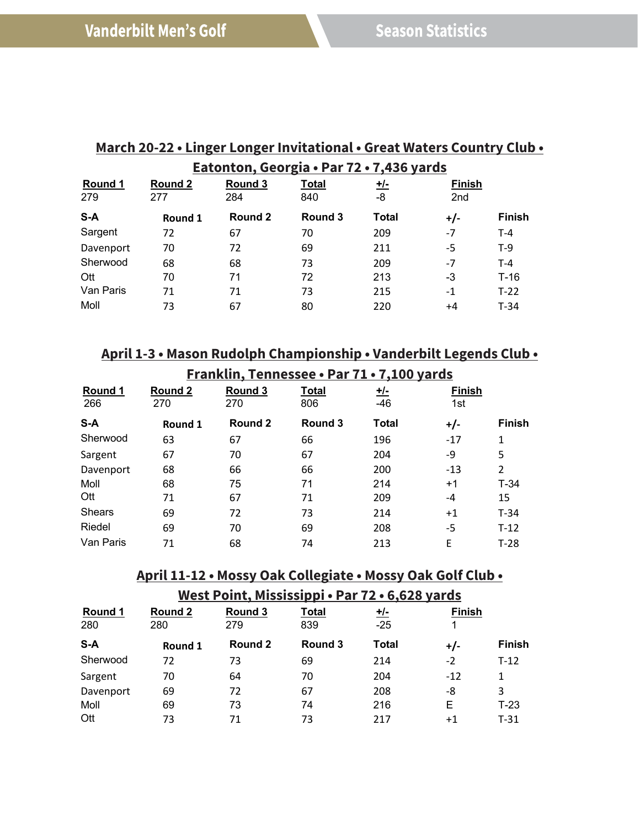# **March 20-22 • Linger Longer Invitational • Great Waters Country Club • Eatonton, Georgia • Par 72 • 7,436 yards**

| Round 1<br>279 | <b>Round 2</b><br>277 | Round 3<br>284 | <b>Total</b><br>840 | <u>+/-</u><br>-8 | <b>Finish</b><br>2nd |               |
|----------------|-----------------------|----------------|---------------------|------------------|----------------------|---------------|
| S-A            | Round 1               | Round 2        | Round 3             | Total            | $+/-$                | <b>Finish</b> |
| Sargent        | 72                    | 67             | 70                  | 209              | $-7$                 | $T-4$         |
| Davenport      | 70                    | 72             | 69                  | 211              | -5                   | $T-9$         |
| Sherwood       | 68                    | 68             | 73                  | 209              | $-7$                 | $T-4$         |
| Ott            | 70                    | 71             | 72                  | 213              | -3                   | $T-16$        |
| Van Paris      | 71                    | 71             | 73                  | 215              | $-1$                 | $T-22$        |
| Moll           | 73                    | 67             | 80                  | 220              | +4                   | $T-34$        |

# **April 1-3 • Mason Rudolph Championship • Vanderbilt Legends Club •**

| Franklin, Tennessee • Par 71 • 7,100 yards |         |         |              |              |               |                |  |
|--------------------------------------------|---------|---------|--------------|--------------|---------------|----------------|--|
| Round 1                                    | Round 2 | Round 3 | <u>Total</u> | <u>+/-</u>   | <b>Finish</b> |                |  |
| 266                                        | 270     | 270     | 806          | $-46$        | 1st           |                |  |
| $S-A$                                      | Round 1 | Round 2 | Round 3      | <b>Total</b> | $+/-$         | <b>Finish</b>  |  |
| Sherwood                                   | 63      | 67      | 66           | 196          | $-17$         | 1              |  |
| Sargent                                    | 67      | 70      | 67           | 204          | -9            | 5              |  |
| Davenport                                  | 68      | 66      | 66           | 200          | $-13$         | $\overline{2}$ |  |
| Moll                                       | 68      | 75      | 71           | 214          | $+1$          | $T-34$         |  |
| Ott                                        | 71      | 67      | 71           | 209          | $-4$          | 15             |  |
| <b>Shears</b>                              | 69      | 72      | 73           | 214          | $+1$          | $T-34$         |  |
| Riedel                                     | 69      | 70      | 69           | 208          | -5            | $T-12$         |  |
| Van Paris                                  | 71      | 68      | 74           | 213          | E             | $T-28$         |  |

### **April 11-12 • Mossy Oak Collegiate • Mossy Oak Golf Club •**

**West Point, Mississippi • Par 72 • 6,628 yards**

| Round 1<br>280 | Round 2<br>280 | Round 3<br>279 | <b>Total</b><br>839 | <u>+/-</u><br>$-25$ | <b>Finish</b> |               |
|----------------|----------------|----------------|---------------------|---------------------|---------------|---------------|
| S-A            | Round 1        | Round 2        | Round 3             | <b>Total</b>        | $+/-$         | <b>Finish</b> |
| Sherwood       | 72             | 73             | 69                  | 214                 | $-2$          | $T-12$        |
| Sargent        | 70             | 64             | 70                  | 204                 | $-12$         | 1             |
| Davenport      | 69             | 72             | 67                  | 208                 | -8            | 3             |
| Moll           | 69             | 73             | 74                  | 216                 | Е             | T-23          |
| Ott            | 73             | 71             | 73                  | 217                 | $+1$          | T-31          |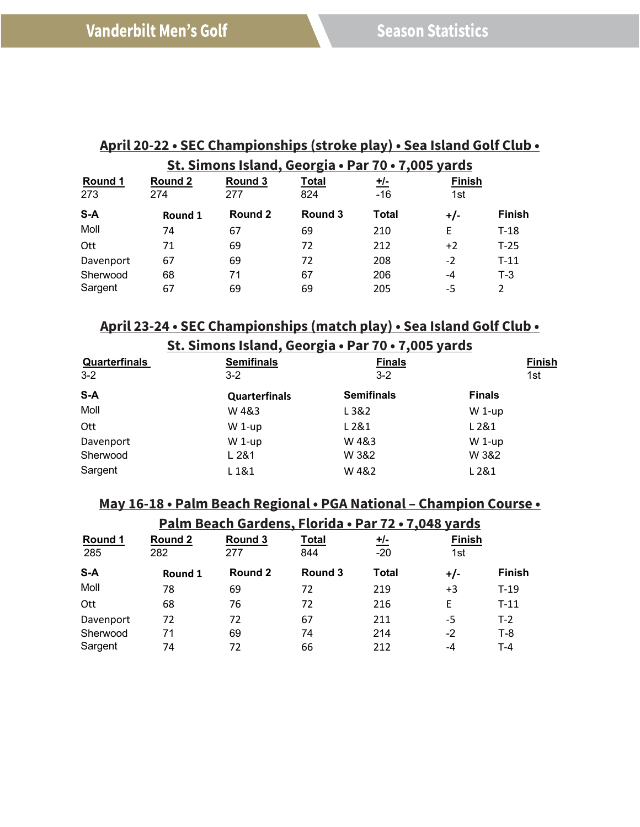#### **April 20-22 • SEC Championships (stroke play) • Sea Island Golf Club • St. Simons Island, Georgia • Par 70 • 7,005 yards**

|           |         |         | <u> ac. allions istunut occi giù - i un To - 1,003 yunus</u> |              |               |               |
|-----------|---------|---------|--------------------------------------------------------------|--------------|---------------|---------------|
| Round 1   | Round 2 | Round 3 | <b>Total</b>                                                 | <u>+/-</u>   | <b>Finish</b> |               |
| 273       | 274     | 277     | 824                                                          | $-16$        | 1st           |               |
| S-A       | Round 1 | Round 2 | Round 3                                                      | <b>Total</b> | $+/-$         | <b>Finish</b> |
| Moll      | 74      | 67      | 69                                                           | 210          | E             | $T-18$        |
| Ott       | 71      | 69      | 72                                                           | 212          | $+2$          | $T-25$        |
| Davenport | 67      | 69      | 72                                                           | 208          | $-2$          | $T-11$        |
| Sherwood  | 68      | 71      | 67                                                           | 206          | $-4$          | $T-3$         |
| Sargent   | 67      | 69      | 69                                                           | 205          | -5            | 2             |

### **April 23-24 • SEC Championships (match play) • Sea Island Golf Club •**

| St. Simons Island, Georgia • Par 70 • 7,005 yards |  |  |
|---------------------------------------------------|--|--|
|                                                   |  |  |

| <b>Quarterfinals</b> | <b>Semifinals</b>    | <b>Finals</b>     | <b>Finish</b> |
|----------------------|----------------------|-------------------|---------------|
| $3 - 2$              | $3 - 2$              | $3 - 2$           | 1st           |
| $S-A$                | <b>Quarterfinals</b> | <b>Semifinals</b> | <b>Finals</b> |
| Moll                 | W 4&3                | L3&2              | $W$ 1-up      |
| Ott                  | $W$ 1-up             | L 2&1             | L 2&1         |
| Davenport            | $W$ 1-up             | W4&3              | $W$ 1-up      |
| Sherwood             | L281                 | W 3&2             | W 3&2         |
| Sargent              | L 1&1                | W4&2              | L 2&1         |

#### **May 16-18 • Palm Beach Regional • PGA National – Champion Course •**

| Palm Beach Gardens, Florida . Par 72 . 7,048 yards |                |                |                     |                    |                      |               |  |  |
|----------------------------------------------------|----------------|----------------|---------------------|--------------------|----------------------|---------------|--|--|
| Round 1<br>285                                     | Round 2<br>282 | Round 3<br>277 | <b>Total</b><br>844 | <u>,七</u><br>$-20$ | <b>Finish</b><br>1st |               |  |  |
| S-A                                                | Round 1        | Round 2        | Round 3             | <b>Total</b>       | $+/-$                | <b>Finish</b> |  |  |
| Moll                                               | 78             | 69             | 72                  | 219                | $+3$                 | $T-19$        |  |  |
| Ott                                                | 68             | 76             | 72                  | 216                | F                    | $T-11$        |  |  |
| Davenport                                          | 72             | 72             | 67                  | 211                | -5                   | $T-2$         |  |  |
| Sherwood                                           | 71             | 69             | 74                  | 214                | $-2$                 | $T-8$         |  |  |
| Sargent                                            | 74             | 72             | 66                  | 212                | -4                   | $T - 4$       |  |  |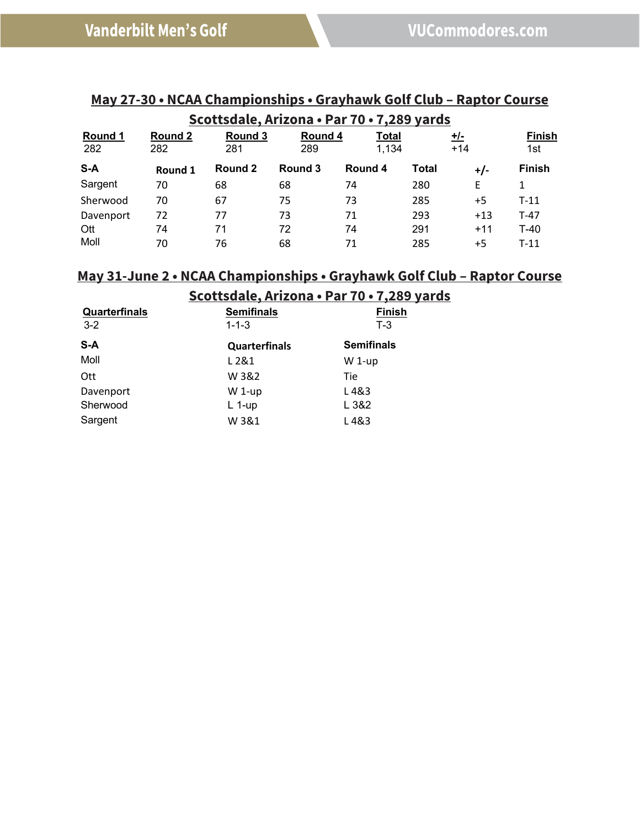| Scottsdale, Arizona · Par 70 · 7,289 yards |                |                |                |                       |              |                     |                      |  |  |
|--------------------------------------------|----------------|----------------|----------------|-----------------------|--------------|---------------------|----------------------|--|--|
| Round 1<br>282                             | Round 2<br>282 | Round 3<br>281 | Round 4<br>289 | <b>Total</b><br>1,134 |              | <u>+/-</u><br>$+14$ | <b>Finish</b><br>1st |  |  |
| $S-A$                                      | Round 1        | Round 2        | Round 3        | Round 4               | <b>Total</b> | $+/-$               | <b>Finish</b>        |  |  |
| Sargent                                    | 70             | 68             | 68             | 74                    | 280          | E                   | 1                    |  |  |
| Sherwood                                   | 70             | 67             | 75             | 73                    | 285          | $+5$                | $T-11$               |  |  |
| Davenport                                  | 72             | 77             | 73             | 71                    | 293          | $+13$               | $T-47$               |  |  |
| Ott                                        | 74             | 71             | 72             | 74                    | 291          | $+11$               | $T-40$               |  |  |
| Moll                                       | 70             | 76             | 68             | 71                    | 285          | $+5$                | $T-11$               |  |  |

# **May 27-30 • NCAA Championships • Grayhawk Golf Club – Raptor Course**

### **May 31-June 2 • NCAA Championships • Grayhawk Golf Club – Raptor Course**

**Scottsdale, Arizona • Par 70 • 7,289 yards Quarterfinals Semifinals Finish**<br>3-2 **T**-3 **T**-3 3-2 1-1-3 T-3 **S-A Quarterfinals Semifinals** Moll **L2&1** W 1-up Ott W 3&2 Tie Davenport W 1-up L 4&3 Sherwood L 1-up L 3&2 Sargent W 3&1 L 4&3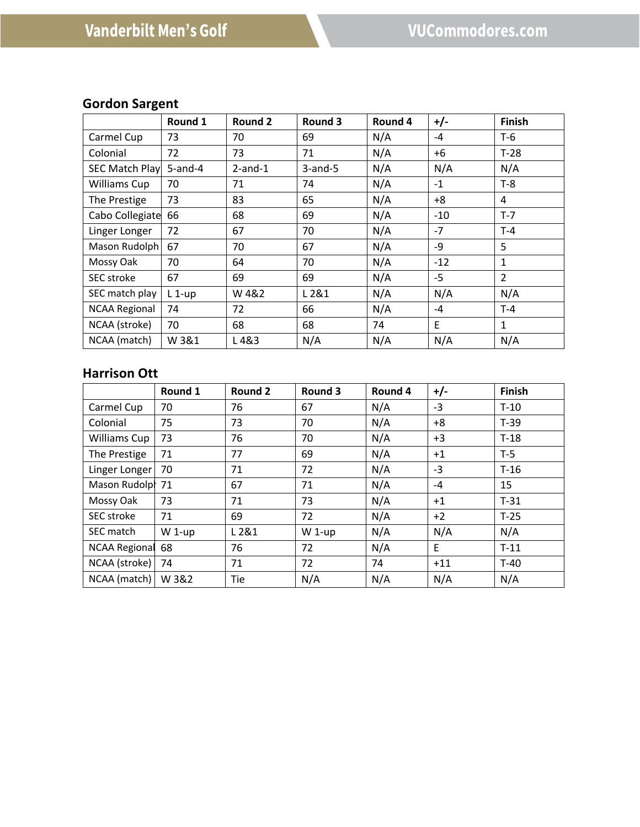# **Gordon Sargent**

|                       | Round 1    | <b>Round 2</b> | Round 3    | Round 4 | $+/-$ | Finish         |
|-----------------------|------------|----------------|------------|---------|-------|----------------|
| Carmel Cup            | 73         | 70             | 69         | N/A     | $-4$  | T-6            |
| Colonial              | 72         | 73             | 71         | N/A     | +6    | $T-28$         |
| <b>SEC Match Play</b> | $5$ -and-4 | $2$ -and-1     | $3$ -and-5 | N/A     | N/A   | N/A            |
| Williams Cup          | 70         | 71             | 74         | N/A     | $-1$  | $T-8$          |
| The Prestige          | 73         | 83             | 65         | N/A     | $+8$  | 4              |
| Cabo Collegiate       | 66         | 68             | 69         | N/A     | $-10$ | $T-7$          |
| Linger Longer         | 72         | 67             | 70         | N/A     | $-7$  | $T-4$          |
| Mason Rudolph         | 67         | 70             | 67         | N/A     | -9    | 5              |
| Mossy Oak             | 70         | 64             | 70         | N/A     | $-12$ | $\mathbf{1}$   |
| SEC stroke            | 67         | 69             | 69         | N/A     | $-5$  | $\overline{2}$ |
| SEC match play        | $L_1$ -up  | W 4&2          | L2&1       | N/A     | N/A   | N/A            |
| <b>NCAA Regional</b>  | 74         | 72             | 66         | N/A     | -4    | $T - 4$        |
| NCAA (stroke)         | 70         | 68             | 68         | 74      | E     | $\mathbf{1}$   |
| NCAA (match)          | W 3&1      | L4&3           | N/A        | N/A     | N/A   | N/A            |

### **Harrison Ott**

|                   | Round 1  | <b>Round 2</b> | Round 3 | Round 4 | $+/-$ | Finish |
|-------------------|----------|----------------|---------|---------|-------|--------|
| Carmel Cup        | 70       | 76             | 67      | N/A     | $-3$  | $T-10$ |
| Colonial          | 75       | 73             | 70      | N/A     | $+8$  | $T-39$ |
| Williams Cup      | 73       | 76             | 70      | N/A     | $+3$  | $T-18$ |
| The Prestige      | 71       | 77             | 69      | N/A     | $+1$  | $T-5$  |
| Linger Longer     | 70       | 71             | 72      | N/A     | $-3$  | $T-16$ |
| Mason Rudolpl 71  |          | 67             | 71      | N/A     | $-4$  | 15     |
| Mossy Oak         | 73       | 71             | 73      | N/A     | $+1$  | $T-31$ |
| <b>SEC</b> stroke | 71       | 69             | 72      | N/A     | $+2$  | $T-25$ |
| SEC match         | $W$ 1-up | L 2&1          | W 1-up  | N/A     | N/A   | N/A    |
| NCAA Regional     | 68       | 76             | 72      | N/A     | E     | $T-11$ |
| NCAA (stroke)     | 74       | 71             | 72      | 74      | $+11$ | $T-40$ |
| NCAA (match)      | W 3&2    | Tie            | N/A     | N/A     | N/A   | N/A    |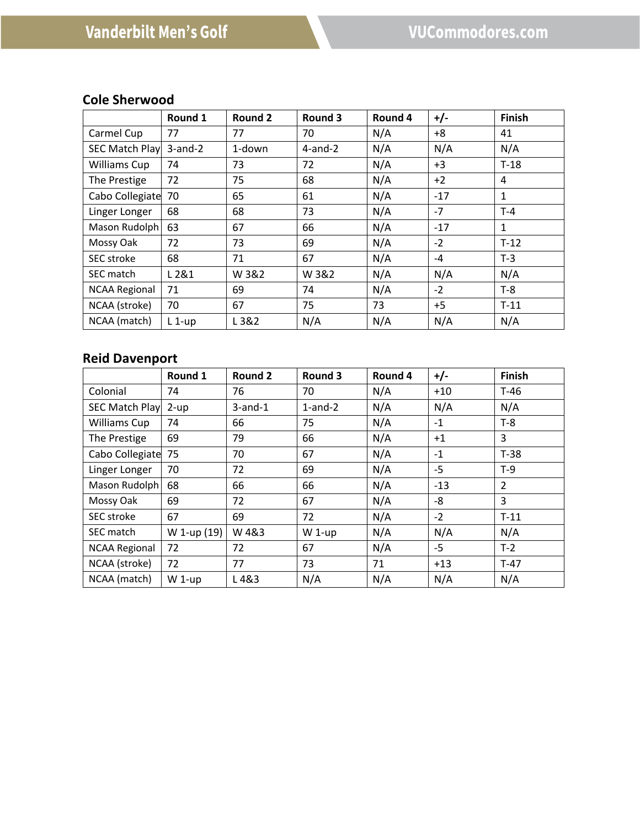# **Cole Sherwood**

|                       | Round 1       | <b>Round 2</b> | Round 3       | Round 4 | $+/-$ | <b>Finish</b> |
|-----------------------|---------------|----------------|---------------|---------|-------|---------------|
| Carmel Cup            | 77            | 77             | 70            | N/A     | $+8$  | 41            |
| <b>SEC Match Play</b> | $3$ -and- $2$ | 1-down         | $4$ -and- $2$ | N/A     | N/A   | N/A           |
| Williams Cup          | 74            | 73             | 72            | N/A     | $+3$  | $T-18$        |
| The Prestige          | 72            | 75             | 68            | N/A     | $+2$  | 4             |
| Cabo Collegiate       | 70            | 65             | 61            | N/A     | $-17$ | $\mathbf{1}$  |
| Linger Longer         | 68            | 68             | 73            | N/A     | $-7$  | $T-4$         |
| Mason Rudolph         | 63            | 67             | 66            | N/A     | $-17$ | $\mathbf{1}$  |
| Mossy Oak             | 72            | 73             | 69            | N/A     | $-2$  | $T-12$        |
| SEC stroke            | 68            | 71             | 67            | N/A     | $-4$  | $T-3$         |
| <b>SEC match</b>      | L 2&1         | W 3&2          | W 3&2         | N/A     | N/A   | N/A           |
| <b>NCAA Regional</b>  | 71            | 69             | 74            | N/A     | $-2$  | $T-8$         |
| NCAA (stroke)         | 70            | 67             | 75            | 73      | $+5$  | $T-11$        |
| NCAA (match)          | $L_1$ -up     | L 3&2          | N/A           | N/A     | N/A   | N/A           |

# **Reid Davenport**

|                       | Round 1     | Round 2       | Round 3       | Round 4 | $+/-$ | <b>Finish</b>  |
|-----------------------|-------------|---------------|---------------|---------|-------|----------------|
| Colonial              | 74          | 76            | 70            | N/A     | $+10$ | T-46           |
| <b>SEC Match Play</b> | $2-up$      | $3$ -and- $1$ | $1$ -and- $2$ | N/A     | N/A   | N/A            |
| <b>Williams Cup</b>   | 74          | 66            | 75            | N/A     | $-1$  | $T-8$          |
| The Prestige          | 69          | 79            | 66            | N/A     | $+1$  | 3              |
| Cabo Collegiate       | 75          | 70            | 67            | N/A     | $-1$  | $T-38$         |
| Linger Longer         | 70          | 72            | 69            | N/A     | $-5$  | $T-9$          |
| Mason Rudolph         | 68          | 66            | 66            | N/A     | $-13$ | $\overline{2}$ |
| Mossy Oak             | 69          | 72            | 67            | N/A     | -8    | 3              |
| <b>SEC</b> stroke     | 67          | 69            | 72            | N/A     | $-2$  | $T-11$         |
| SEC match             | W 1-up (19) | W4&3          | $W$ 1-up      | N/A     | N/A   | N/A            |
| <b>NCAA Regional</b>  | 72          | 72            | 67            | N/A     | -5    | $T-2$          |
| NCAA (stroke)         | 72          | 77            | 73            | 71      | $+13$ | $T-47$         |
| NCAA (match)          | $W$ 1-up    | L4&3          | N/A           | N/A     | N/A   | N/A            |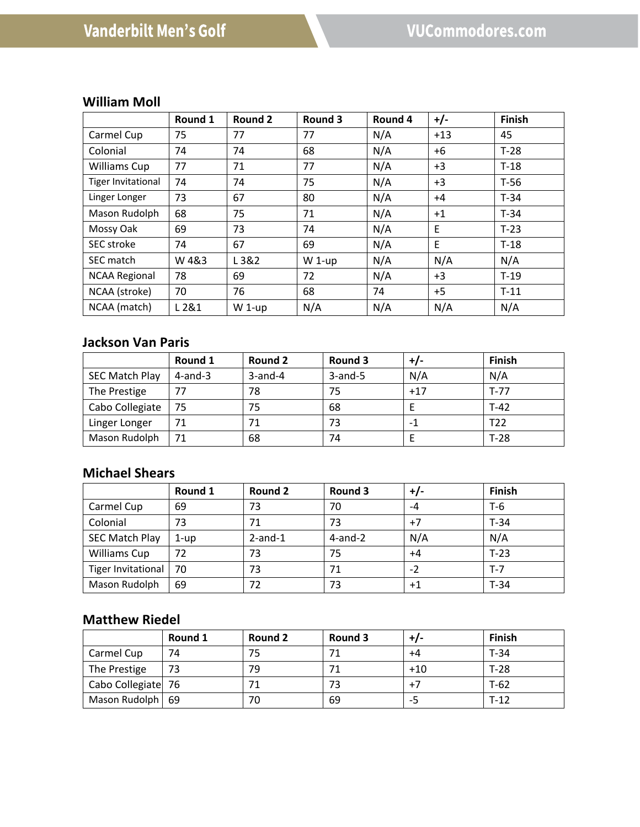# **William Moll**

|                           | Round 1 | Round 2  | Round 3  | Round 4 | $+/-$ | <b>Finish</b> |
|---------------------------|---------|----------|----------|---------|-------|---------------|
| Carmel Cup                | 75      | 77       | 77       | N/A     | $+13$ | 45            |
| Colonial                  | 74      | 74       | 68       | N/A     | $+6$  | $T-28$        |
| <b>Williams Cup</b>       | 77      | 71       | 77       | N/A     | $+3$  | $T-18$        |
| <b>Tiger Invitational</b> | 74      | 74       | 75       | N/A     | $+3$  | $T-56$        |
| Linger Longer             | 73      | 67       | 80       | N/A     | $+4$  | $T-34$        |
| Mason Rudolph             | 68      | 75       | 71       | N/A     | $+1$  | $T-34$        |
| Mossy Oak                 | 69      | 73       | 74       | N/A     | Ε     | $T-23$        |
| <b>SEC</b> stroke         | 74      | 67       | 69       | N/A     | E     | $T-18$        |
| SEC match                 | W4&3    | L3&2     | $W$ 1-up | N/A     | N/A   | N/A           |
| <b>NCAA Regional</b>      | 78      | 69       | 72       | N/A     | $+3$  | $T-19$        |
| NCAA (stroke)             | 70      | 76       | 68       | 74      | $+5$  | $T-11$        |
| NCAA (match)              | L 2&1   | $W$ 1-up | N/A      | N/A     | N/A   | N/A           |

# **Jackson Van Paris**

|                       | Round 1    | Round 2    | Round 3       | +/-   | <b>Finish</b> |
|-----------------------|------------|------------|---------------|-------|---------------|
| <b>SEC Match Play</b> | $4$ -and-3 | $3$ -and-4 | $3$ -and- $5$ | N/A   | N/A           |
| The Prestige          | 77         | 78         | 75            | $+17$ | $T-77$        |
| Cabo Collegiate       | 75         | 75         | 68            |       | $T-42$        |
| Linger Longer         |            | 71         | 73            |       | T22           |
| Mason Rudolph         |            | 68         | 74            |       | $T-28$        |

#### **Michael Shears**

|                           | Round 1 | Round 2       | Round 3       | +/-  | <b>Finish</b> |
|---------------------------|---------|---------------|---------------|------|---------------|
| Carmel Cup                | 69      | 73            | 70            | -4   | $T-6$         |
| Colonial                  | 73      | 71            | 73            | $+7$ | $T-34$        |
| <b>SEC Match Play</b>     | 1-up    | $2$ -and- $1$ | $4$ -and- $2$ | N/A  | N/A           |
| <b>Williams Cup</b>       | 72      | 73            | 75            | $+4$ | $T-23$        |
| <b>Tiger Invitational</b> | 70      | 73            | 71            | $-2$ | $T-7$         |
| Mason Rudolph             | 69      | 72            | 73            | +1   | $T-34$        |

### **Matthew Riedel**

|                    | Round 1 | Round 2 | Round 3 | +/-   | <b>Finish</b> |
|--------------------|---------|---------|---------|-------|---------------|
| Carmel Cup         | 74      | 75      |         | +4    | $T-34$        |
| The Prestige       | 73      | 79      |         | $+10$ | $T-28$        |
| Cabo Collegiate 76 |         | 71      |         |       | $T-62$        |
| Mason Rudolph   69 |         | 70      | 69      | כ-    | $T-12$        |